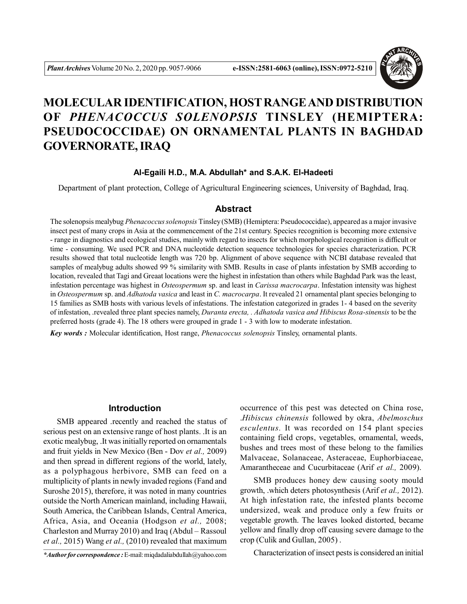

# **MOLECULAR IDENTIFICATION, HOST RANGE AND DISTRIBUTION OF** *PHENACOCCUS SOLENOPSIS* **TINSLEY (HEMIPTERA: PSEUDOCOCCIDAE) ON ORNAMENTAL PLANTS IN BAGHDAD GOVERNORATE, IRAQ**

# **Al-Egaili H.D., M.A. Abdullah\* and S.A.K. El-Hadeeti**

Department of plant protection, College of Agricultural Engineering sciences, University of Baghdad, Iraq.

## **Abstract**

The solenopsis mealybug *Phenacoccus solenopsis* Tinsley (SMB) (Hemiptera: Pseudococcidae), appeared as a major invasive insect pest of many crops in Asia at the commencement of the 21st century. Species recognition is becoming more extensive - range in diagnostics and ecological studies, mainly with regard to insects for which morphological recognition is difficult or time - consuming. We used PCR and DNA nucleotide detection sequence technologies for species characterization. PCR results showed that total nucleotide length was 720 bp. Alignment of above sequence with NCBI database revealed that samples of mealybug adults showed 99 % similarity with SMB. Results in case of plants infestation by SMB according to location, revealed that Tagi and Greaat locations were the highest in infestation than others while Baghdad Park was the least, infestation percentage was highest in *Osteospermum* sp. and least in *Carissa macrocarpa*. Infestation intensity was highest in *Osteospermum* sp. and *Adhatoda vasica* and least in *C. macrocarpa*. It revealed 21 ornamental plant species belonging to 15 families as SMB hosts with various levels of infestations. The infestation categorized in grades 1- 4 based on the severity of infestation, .revealed three plant species namely, *Duranta erecta, . Adhatoda vasica and Hibiscus Rosa-sinensis* to be the preferred hosts (grade 4). The 18 others were grouped in grade 1 - 3 with low to moderate infestation.

*Key words :* Molecular identification, Host range, *Phenacoccus solenopsis* Tinsley, ornamental plants.

# **Introduction**

SMB appeared .recently and reached the status of serious pest on an extensive range of host plants. .It is an exotic mealybug, .It was initially reported on ornamentals and fruit yields in New Mexico (Ben - Dov *et al.,* 2009) and then spread in different regions of the world, lately, as a polyphagous herbivore, SMB can feed on a multiplicity of plants in newly invaded regions (Fand and Suroshe 2015), therefore, it was noted in many countries outside the North American mainland, including Hawaii, South America, the Caribbean Islands, Central America, Africa, Asia, and Oceania (Hodgson *et al.,* 2008; Charleston and Murray 2010) and Iraq (Abdul – Rassoul *et al.,* 2015) Wang *et al.,* (2010) revealed that maximum

*\*Author for correspondence :* E-mail: miqdadaliabdullah@yahoo.com

occurrence of this pest was detected on China rose, .*Hibiscus chinensis* followed by okra, *Abelmoschus esculentus.* It was recorded on 154 plant species containing field crops, vegetables, ornamental, weeds, bushes and trees most of these belong to the families Malvaceae, Solanaceae, Asteraceae, Euphorbiaceae, Amarantheceae and Cucurbitaceae (Arif *et al.,* 2009).

SMB produces honey dew causing sooty mould growth, .which deters photosynthesis (Arif *et al.,* 2012). At high infestation rate, the infested plants become undersized, weak and produce only a few fruits or vegetable growth. The leaves looked distorted, became yellow and finally drop off causing severe damage to the crop (Culik and Gullan, 2005) .

Characterization of insect pests is considered an initial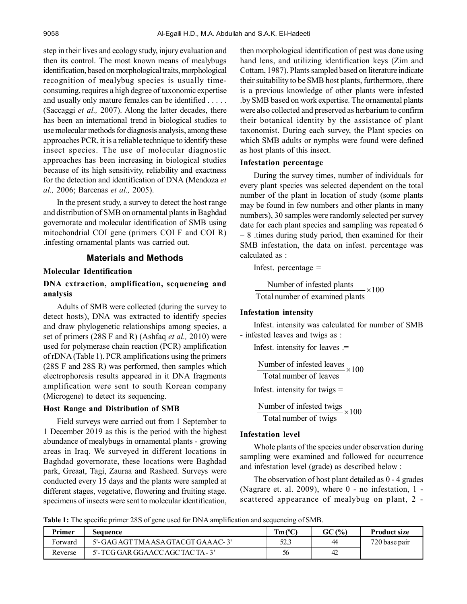step in their lives and ecology study, injury evaluation and then its control. The most known means of mealybugs identification, based on morphological traits, morphological recognition of mealybug species is usually timeconsuming, requires a high degree of taxonomic expertise and usually only mature females can be identified . . . . . (Saccaggi *et al.,* 2007). Along the latter decades, there has been an international trend in biological studies to use molecular methods for diagnosis analysis, among these approaches PCR, it is a reliable technique to identify these insect species. The use of molecular diagnostic approaches has been increasing in biological studies because of its high sensitivity, reliability and exactness for the detection and identification of DNA (Mendoza *et al.,* 2006; Barcenas *et al.,* 2005).

In the present study, a survey to detect the host range and distribution of SMB on ornamental plants in Baghdad governorate and molecular identification of SMB using mitochondrial COI gene (primers COI F and COI R) .infesting ornamental plants was carried out.

# **Materials and Methods**

#### **Molecular Identification**

# **DNA extraction, amplification, sequencing and analysis**

Adults of SMB were collected (during the survey to detect hosts), DNA was extracted to identify species and draw phylogenetic relationships among species, a set of primers (28S F and R) (Ashfaq *et al.,* 2010) were used for polymerase chain reaction (PCR) amplification of rDNA (Table 1). PCR amplifications using the primers (28S F and 28S R) was performed, then samples which electrophoresis results appeared in it DNA fragments amplification were sent to south Korean company (Microgene) to detect its sequencing.

# **Host Range and Distribution of SMB**

Field surveys were carried out from 1 September to 1 December 2019 as this is the period with the highest abundance of mealybugs in ornamental plants - growing areas in Iraq. We surveyed in different locations in Baghdad governorate, these locations were Baghdad park, Greaat, Tagi, Zauraa and Rasheed. Surveys were conducted every 15 days and the plants were sampled at different stages, vegetative, flowering and fruiting stage. specimens of insects were sent to molecular identification,

then morphological identification of pest was done using hand lens, and utilizing identification keys (Zim and Cottam, 1987). Plants sampled based on literature indicate their suitability to be SMB host plants, furthermore, .there is a previous knowledge of other plants were infested .by SMB based on work expertise. The ornamental plants were also collected and preserved as herbarium to confirm their botanical identity by the assistance of plant taxonomist. During each survey, the Plant species on which SMB adults or nymphs were found were defined as host plants of this insect.

# **Infestation percentage**

During the survey times, number of individuals for every plant species was selected dependent on the total number of the plant in location of study (some plants may be found in few numbers and other plants in many numbers), 30 samples were randomly selected per survey date for each plant species and sampling was repeated 6 – 8 .times during study period, then examined for their SMB infestation, the data on infest. percentage was calculated as :

Infest. percentage =

100 Total number of examined plants Number of infested plants  $\times$ 

# **Infestation intensity**

Infest. intensity was calculated for number of SMB - infested leaves and twigs as :

Infest. intensity for leaves .=

100 Total number of leaves Number of infested leaves  $\times$ 

Infest. intensity for twigs  $=$ 

Number of infested twigs  $\times 100$ Total number of twigs

#### **Infestation level**

Whole plants of the species under observation during sampling were examined and followed for occurrence and infestation level (grade) as described below :

The observation of host plant detailed as 0 - 4 grades (Nagrare et. al. 2009), where 0 - no infestation, 1 scattered appearance of mealybug on plant, 2 -

**Table 1:** The specific primer 28S of gene used for DNA amplification and sequencing of SMB.

| Primer  | Sequence                            | $Tm$ ( $^{\circ}$ C | GC (%) | <b>Product size</b> |
|---------|-------------------------------------|---------------------|--------|---------------------|
| Forward | 5'-GAG AGT TMA ASA GTACGT GAA AC-3' | 52.3                | 44     | 720 base pair       |
| Reverse | 5'- TCG GAR GGAACC AGC TAC TA - 3'  | 56                  | 42     |                     |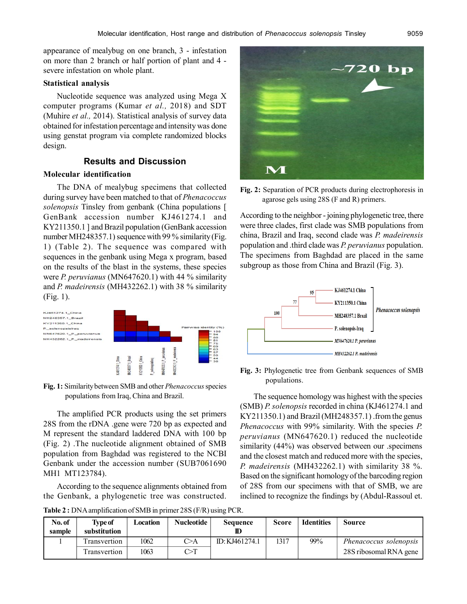appearance of mealybug on one branch, 3 - infestation on more than 2 branch or half portion of plant and 4 severe infestation on whole plant.

# **Statistical analysis**

Nucleotide sequence was analyzed using Mega X computer programs (Kumar *et al.,* 2018) and SDT (Muhire *et al.,* 2014). Statistical analysis of survey data obtained for infestation percentage and intensity was done using genstat program via complete randomized blocks design.

# **Results and Discussion**

#### **Molecular identification**

The DNA of mealybug specimens that collected during survey have been matched to that of *Phenacoccus solenopsis* Tinsley from genbank (China populations [ GenBank accession number KJ461274.1 and KY211350.1 ] and Brazil population (GenBank accession number MH248357.1) sequence with 99 % similarity (Fig. 1) (Table 2). The sequence was compared with sequences in the genbank using Mega x program, based on the results of the blast in the systems, these species were *P. peruvianus* (MN647620.1) with 44 % similarity and *P. madeirensis* (MH432262.1) with 38 % similarity (Fig. 1).



## **Fig. 1:** Similarity between SMB and other *Phenacoccus* species populations from Iraq, China and Brazil.

The amplified PCR products using the set primers 28S from the rDNA .gene were 720 bp as expected and M represent the standard laddered DNA with 100 bp (Fig. 2) .The nucleotide alignment obtained of SMB population from Baghdad was registered to the NCBI Genbank under the accession number (SUB7061690 MH1 MT123784).

According to the sequence alignments obtained from the Genbank, a phylogenetic tree was constructed.



**Fig. 2:** Separation of PCR products during electrophoresis in agarose gels using 28S (F and R) primers.

According to the neighbor - joining phylogenetic tree, there were three clades, first clade was SMB populations from china, Brazil and Iraq, second clade was *P. madeirensis* population and .third clade was *P. peruvianus* population. The specimens from Baghdad are placed in the same subgroup as those from China and Brazil (Fig. 3).



**Fig. 3:** Phylogenetic tree from Genbank sequences of SMB populations.

The sequence homology was highest with the species (SMB) *P. solenopsis* recorded in china (KJ461274.1 and  $KY211350.1)$  and Brazil (MH248357.1) . from the genus *Phenacoccus* with 99% similarity. With the species *P. peruvianus* (MN647620.1) reduced the nucleotide similarity (44%) was observed between our .specimens and the closest match and reduced more with the species, *P. madeirensis* (MH432262.1) with similarity 38 %. Based on the significant homology of the barcoding region of 28S from our specimens with that of SMB, we are inclined to recognize the findings by (Abdul-Rassoul et.

| No. of<br>sample | <b>Type of</b><br>substitution | Location | <b>Nucleotide</b> | <b>Sequence</b> | <b>Score</b> | <b>Identities</b> | Source                 |
|------------------|--------------------------------|----------|-------------------|-----------------|--------------|-------------------|------------------------|
|                  | <b>Transvertion</b>            | 1062     | C>A               | ID: KJ461274.1  | 1317         | 99%               | Phenacoccus solenopsis |
|                  | <b>Transvertion</b>            | 1063     |                   |                 |              |                   | 28S ribosomal RNA gene |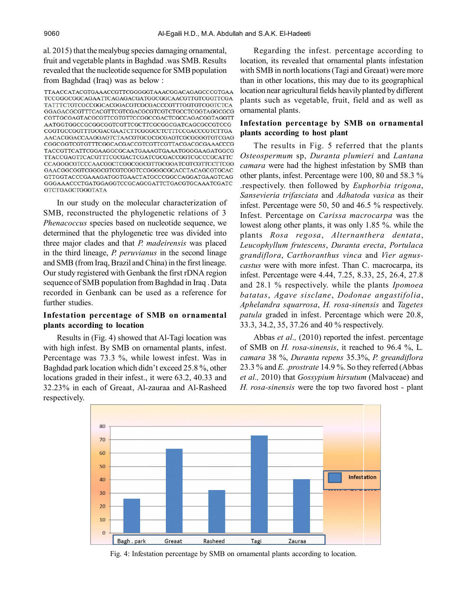al. 2015) that the mealybug species damaging ornamental, fruit and vegetable plants in Baghdad .was SMB. Results revealed that the nucleotide sequence for SMB population from Baghdad (Iraq) was as below :

TTAACCATACGTGAAACCGTTCGGGGGTAAACGGACAGAGCCCGTGAA TCCGGGCGGCAGAATTCAGAGACGATGGCGGCAACGTTGTCGGTTCGA TATTTCTGTCGCCGGCACGGACGTCGCGACCCGTTTGGTGTCGGTCTCA GGAGACGCGTTTCACGTTCGTCGACGCGTCGTCTGCCTCGGTAGGCGCG CGTTGCGAGTACGCGTTCGTGTTCCGGCCGACTCGCCAGACGGTAGGTT AATGGTGGCCGCGGCGGTCGTTCGCTTCGCGGCGATCAGCGCCGTCCG  ${\tt CGGTGCCGGTTTGCGACGAATCTTCGGGCCTCTTTCCGACCCGTCTTGA}$ AACACGGACCAAGGAGTCTAACGTGCGCGCGAGTCGCGGGGTGTCGAG CGGCGGTCGTGTTTCGGCACGACCGTCGTTCGTTACGACGCGAAACCCG TACCGTTCATTCGGAAGGCGCAATGAAAGTGAAATGGGGAAGATGGCG TTACCGAGTTCACGTTTCGCGACTCGATCGCGACCGGTCGCCCGCATTC CCAGGGCGTCCCAACGGCTCGGCGGCGTTGCGGATCGTCGTTCCTTCGG GAACGGCGGTCGGGCGTCGGCGTCCGGGGCGCACCTACAGCGTGCAC  ${\tt GTTGGTACCCGAAAGATGGTGAACTATGCCCGGCCAGGATGAAGTCAG}$ GGGAAACCCTGATGGAGGTCCGCAGCGATTCTGACGTGCAAATCGATC GTCTGAGCTGGGTATA

In our study on the molecular characterization of SMB, reconstructed the phylogenetic relations of 3 *Phenacoccus* species based on nucleotide sequence, we determined that the phylogenetic tree was divided into three major clades and that *P. madeirensis* was placed in the third lineage, *P. peruvianus* in the second linage and SMB (from Iraq, Brazil and China) in the first lineage. Our study registered with Genbank the first rDNA region sequence of SMB population from Baghdad in Iraq . Data recorded in Genbank can be used as a reference for further studies.

# **Infestation percentage of SMB on ornamental plants according to location**

Results in (Fig. 4) showed that Al-Tagi location was with high infest. By SMB on ornamental plants, infest. Percentage was 73.3 %, while lowest infest. Was in Baghdad park location which didn't exceed 25.8 %, other locations graded in their infest., it were 63.2, 40.33 and 32.23% in each of Greaat, Al-zauraa and Al-Rasheed respectively.

Regarding the infest. percentage according to location, its revealed that ornamental plants infestation with SMB in north locations (Tagi and Greaat) were more than in other locations, this may due to its geographical location near agricultural fields heavily planted by different plants such as vegetable, fruit, field and as well as ornamental plants.

# **Infestation percentage by SMB on ornamental plants according to host plant**

The results in Fig. 5 referred that the plants *Osteospermum* sp, *Duranta plumieri* and *Lantana camara* were had the highest infestation by SMB than other plants, infest. Percentage were 100, 80 and 58.3 % .respectively. then followed by *Euphorbia trigona*, *Sansevieria trifasciata* and *Adhatoda vasica* as their infest. Percentage were 50, 50 and 46.5 % respectively. Infest. Percentage on *Carissa macrocarpa* was the lowest along other plants, it was only 1.85 %. while the plants *Rosa regosa*, *Alternanthera dentata*, *Leucophyllum frutescens*, *Duranta erecta*, *Portulaca grandiflora*, *Carthoranthus vinca* and *Vier agnuscastus* were with more infest. Than C. macrocarpa, its infest. Percentage were 4.44, 7.25, 8.33, 25, 26.4, 27.8 and 28.1 % respectively. while the plants *Ipomoea batatas*, *Agave sisclane*, *Dodonae angastifolia*, *Aphelandra squarrosa*, *H. rosa-sinensis* and *Tagetes patula* graded in infest. Percentage which were 20.8, 33.3, 34.2, 35, 37.26 and 40 % respectively.

Abbas *et al.,* (2010) reported the infest. percentage of SMB on *H. rosa-sinensis*, it reached to 96.4 %, L*. camara* 38 %, *Duranta repens* 35.3%, *P. greandiflora* 23.3 % and *E. .prostrate* 14.9 %. So they referred (Abbas *et al.,* 2010) that *Gossypium hirsutum* (Malvaceae) and *H. rosa-sinensis* were the top two favored host - plant



Fig. 4: Infestation percentage by SMB on ornamental plants according to location.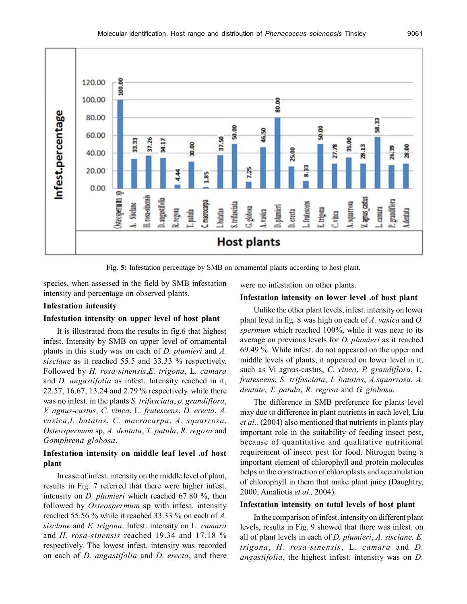

**Fig. 5:** Infestation percentage by SMB on ornamental plants according to host plant.

species, when assessed in the field by SMB infestation intensity and percentage on observed plants.

# **Infestation intensity**

# **Infestation intensity on upper level of host plant**

It is illustrated from the results in fig.6 that highest infest. Intensity by SMB on upper level of ornamental plants in this study was on each of *D. plumieri* and *A. sisclane* as it reached 55.5 and 33.33 % respectively. Followed by *H. rosa-sinensis*,*E. trigona*, L*. camara* and *D. angastifolia* as infest. Intensity reached in it, 22.57, 16.67, 13.24 and 2.79 % respectively. while there was no infest. in the plants *S. trifasciata*, *p. grandiflora*, *V. agnus-castus*, *C. vinca*, L*. frutescens*, *D. erecta*, *A. vasica*,*I. batatas*, *C. macrocarpa*, *A. squarrosa*, *Osteospermum* sp, *A. dentata*, *T. patula*, *R. regosa* and *Gomphrena globosa*.

# **Infestation intensity on middle leaf level .of host plant**

In case of infest. intensity on the middle level of plant, results in Fig. 7 referred that there were higher infest. intensity on *D. plumieri* which reached 67.80 %, then followed by *Osteospermum* sp with infest. intensity reached 55.56 % while it reached 33.33 % on each of *A. sisclane* and *E. trigona*. Infest. intensity on L*. camara* and *H. rosa-sinensis* reached 19.34 and 17.18 % respectively. The lowest infest. intensity was recorded on each of *D. angastifolia* and *D. erecta*, and there

were no infestation on other plants.

## **Infestation intensity on lower level .of host plant**

Unlike the other plant levels, infest. intensity on lower plant level in fig. 8 was high on each of *A. vasica* and *O. spermum* which reached 100%, while it was near to its average on previous levels for *D. plumieri* as it reached 69.49 %. While infest. do not appeared on the upper and middle levels of plants, it appeared on lower level in it, such as Vi agnus-castus, *C. vinca*, *P. grandiflora*, L*. frutescens*, *S. trifasciata*, *I. batatas*, *A.squarrosa*, *A. dentate*, *T. patula*, *R. regosa* and *G. globosa.*

The difference in SMB preference for plants level may due to difference in plant nutrients in each level, Liu *et al.,* (2004) also mentioned that nutrients in plants play important role in the suitability of feeding insect pest, because of quantitative and qualitative nutritional requirement of insect pest for food. Nitrogen being a important element of chlorophyll and protein molecules helps in the construction of chloroplasts and accumulation of chlorophyll in them that make plant juicy (Daughtry, 2000; Amaliotis *et al.,* 2004).

#### **Infestation intensity on total levels of host plant**

In the comparison of infest. intensity on different plant levels, results in Fig. 9 showed that there was infest. on all of plant levels in each of *D. plumieri*, *A. sisclane, E. trigona*, *H. rosa-sinensis*, L*. camara* and *D. angastifolia*, the highest infest. intensity was on *D.*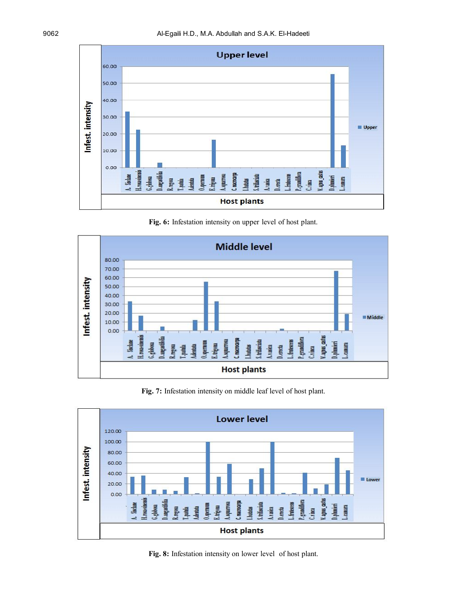

**Fig. 6:** Infestation intensity on upper level of host plant.



**Fig. 7:** Infestation intensity on middle leaf level of host plant.



**Fig. 8:** Infestation intensity on lower level of host plant.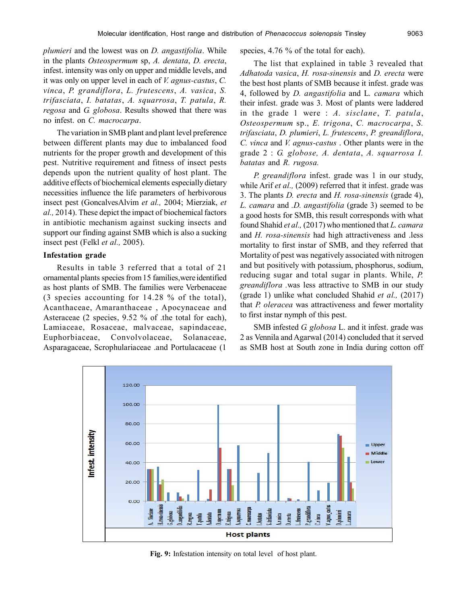*plumieri* and the lowest was on *D. angastifolia*. While in the plants *Osteospermum* sp, *A. dentata*, *D. erecta*, infest. intensity was only on upper and middle levels, and it was only on upper level in each of *V. agnus-castus*, *C. vinca*, *P. grandiflora*, *L. frutescens*, *A. vasica*, *S. trifasciata*, *I. batatas*, *A. squarrosa*, *T. patula*, *R. regosa* and *G. globosa*. Results showed that there was no infest. on *C. macrocarpa*.

The variation in SMB plant and plant level preference between different plants may due to imbalanced food nutrients for the proper growth and development of this pest. Nutritive requirement and fitness of insect pests depends upon the nutrient quality of host plant. The additive effects of biochemical elements especially dietary necessities influence the life parameters of herbivorous insect pest (GoncalvesAlvim *et al.,* 2004; Mierziak, *et al.,* 2014). These depict the impact of biochemical factors in antibiotic mechanism against sucking insects and support our finding against SMB which is also a sucking insect pest (Felkl *et al.,* 2005).

# **Infestation grade**

Results in table 3 referred that a total of 21 ornamental plants species from 15 families,were identified as host plants of SMB. The families were Verbenaceae (3 species accounting for 14.28 % of the total), Acanthaceae, Amaranthaceae , Apocynaceae and Asteraceae (2 species, 9.52 % of .the total for each), Lamiaceae, Rosaceae, malvaceae, sapindaceae, Euphorbiaceae, Convolvolaceae, Solanaceae, Asparagaceae, Scrophulariaceae .and Portulacaceae (1 species, 4.76 % of the total for each).

The list that explained in table 3 revealed that *Adhatoda vasica*, *H. rosa-sinensis* and *D. erecta* were the best host plants of SMB because it infest. grade was 4, followed by *D. angastifolia* and L*. camara* which their infest. grade was 3. Most of plants were laddered in the grade 1 were : *A. sisclane*, *T. patula*, *Osteospermum* sp., *E. trigona*, *C. macrocarpa*, *S. trifasciata*, *D. plumieri*, *L. frutescens*, *P. greandiflora*, *C. vinca* and *V. agnus-castus* . Other plants were in the grade 2 : *G. globose, A. dentata*, *A. squarrosa I. batatas* and *R. rugosa.*

*P. greandiflora* infest. grade was 1 in our study, while Arif *et al.*, (2009) referred that it infest. grade was 3. The plants *D. erecta* and *H. rosa-sinensis* (grade 4), *L. camara* and *.D. angastifolia* (grade 3) seemed to be a good hosts for SMB, this result corresponds with what found Shahid *et al.,* (2017) who mentioned that *L. camara* and *H. rosa-sinensis* had high attractiveness and .less mortality to first instar of SMB, and they referred that Mortality of pest was negatively associated with nitrogen and but positively with potassium, phosphorus, sodium, reducing sugar and total sugar in plants. While, *P. greandiflora .*was less attractive to SMB in our study (grade 1) unlike what concluded Shahid *et al.,* (2017) that *P. oleracea* was attractiveness and fewer mortality to first instar nymph of this pest.

SMB infested *G. globosa* L. and it infest. grade was 2 as Vennila and Agarwal (2014) concluded that it served as SMB host at South zone in India during cotton off



**Fig. 9:** Infestation intensity on total level of host plant.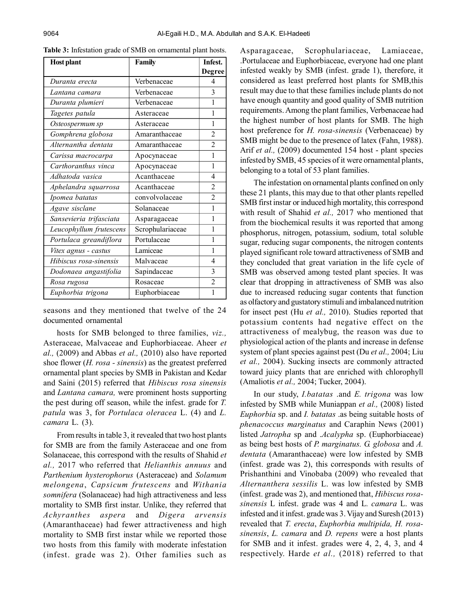| <b>Host plant</b>       | Family           | Infest.        |
|-------------------------|------------------|----------------|
|                         |                  | <b>Degree</b>  |
| Duranta erecta          | Verbenaceae      | 4              |
| Lantana camara          | Verbenaceae      | 3              |
| Duranta plumieri        | Verbenaceae      | 1              |
| Tagetes patula          | Asteraceae       | 1              |
| Osteospermum sp         | Asteraceae       | 1              |
| Gomphrena globosa       | Amaranthaceae    | $\overline{2}$ |
| Alternantha dentata     | Amaranthaceae    | $\overline{2}$ |
| Carissa macrocarpa      | Apocynaceae      | 1              |
| Carthoranthus vinca     | Apocynaceae      | 1              |
| Adhatoda vasica         | Acanthaceae      | 4              |
| Aphelandra squarrosa    | Acanthaceae      | $\overline{2}$ |
| Ipomea batatas          | convolvolaceae   | $\overline{2}$ |
| Agave sisclane          | Solanaceae       | 1              |
| Sansevieria trifasciata | Asparagaceae     | 1              |
| Leucophyllum frutescens | Scrophulariaceae | 1              |
| Portulaca greandiflora  | Portulaceae      | 1              |
| Vitex agnus - castus    | Lamiceae         | 1              |
| Hibiscus rosa-sinensis  | Malvaceae        | 4              |
| Dodonaea angastifolia   | Sapindaceae      | 3              |
| Rosa rugosa             | Rosaceae         | $\overline{2}$ |
| Euphorbia trigona       | Euphorbiaceae    | 1              |

|  |  | Table 3: Infestation grade of SMB on ornamental plant hosts. |
|--|--|--------------------------------------------------------------|
|--|--|--------------------------------------------------------------|

seasons and they mentioned that twelve of the 24 documented ornamental

hosts for SMB belonged to three families, *viz.,* Asteraceae, Malvaceae and Euphorbiaceae. Aheer *et al.,* (2009) and Abbas *et al.,* (2010) also have reported shoe flower (*H. rosa - sinensis*) as the greatest preferred ornamental plant species by SMB in Pakistan and Kedar and Saini (2015) referred that *Hibiscus rosa sinensis* and *Lantana camara,* were prominent hosts supporting the pest during off season, while the infest. grade for *T. patula* was 3, for *Portulaca oleracea* L. (4) and *L. camara* L. (3).

From results in table 3, it revealed that two host plants for SMB are from the family Asteraceae and one from Solanaceae, this correspond with the results of Shahid *et al.,* 2017 who referred that *Helianthis annuus* and *Parthenium hysterophorus* (Asteraceae) and *Solamum melongena*, *Capsicum frutescens* and *Withania somnifera* (Solanaceae) had high attractiveness and less mortality to SMB first instar. Unlike, they referred that *Achyranthes aspera* and *Digera arvensis* (Amaranthaceae) had fewer attractiveness and high mortality to SMB first instar while we reported those two hosts from this family with moderate infestation (infest. grade was 2). Other families such as Asparagaceae, Scrophulariaceae, Lamiaceae, .Portulaceae and Euphorbiaceae, everyone had one plant infested weakly by SMB (infest. grade 1), therefore, it considered as least preferred host plants for SMB,this result may due to that these families include plants do not have enough quantity and good quality of SMB nutrition requirements. Among the plant families, Verbenaceae had the highest number of host plants for SMB. The high host preference for *H. rosa-sinensis* (Verbenaceae) by SMB might be due to the presence of latex (Fahn, 1988). Arif *et al.,* (2009) documented 154 host - plant species infested by SMB, 45 species of it were ornamental plants, belonging to a total of 53 plant families.

The infestation on ornamental plants confined on only these 21 plants, this may due to that other plants repelled SMB first instar or induced high mortality, this correspond with result of Shahid *et al.,* 2017 who mentioned that from the biochemical results it was reported that among phosphorus, nitrogen, potassium, sodium, total soluble sugar, reducing sugar components, the nitrogen contents played significant role toward attractiveness of SMB and they concluded that great variation in the life cycle of SMB was observed among tested plant species. It was clear that dropping in attractiveness of SMB was also due to increased reducing sugar contents that function as olfactory and gustatory stimuli and imbalanced nutrition for insect pest (Hu *et al.,* 2010). Studies reported that potassium contents had negative effect on the attractiveness of mealybug, the reason was due to physiological action of the plants and increase in defense system of plant species against pest (Du *et al.,* 2004; Liu *et al.,* 2004). Sucking insects are commonly attracted toward juicy plants that are enriched with chlorophyll (Amaliotis *et al.,* 2004; Tucker, 2004).

In our study, *I.batatas* .and *E. trigona* was low infested by SMB while Muniappan *et al.,* (2008) listed *Euphorbia* sp. and *I. batatas* .as being suitable hosts of *phenacoccus marginatus* and Caraphin News (2001) listed *Jatropha* sp and .*Acalypha* sp. (Euphorbiaceae) as being best hosts of *P. marginatus. G. globosa* and *A. dentata* (Amaranthaceae) were low infested by SMB (infest. grade was 2), this corresponds with results of Prishanthini and Vinobaba (2009) who revealed that *Alternanthera sessilis* L. was low infested by SMB (infest. grade was 2), and mentioned that, *Hibiscus rosasinensis* L infest. grade was 4 and L*. camara* L. was infested and it infest. grade was 3. Vijay and Suresh (2013) revealed that *T. erecta*, *Euphorbia multipida, H. rosasinensis*, *L. camara* and *D. repens* were a host plants for SMB and it infest. grades were 4, 2, 4, 3, and 4 respectively. Harde *et al.,* (2018) referred to that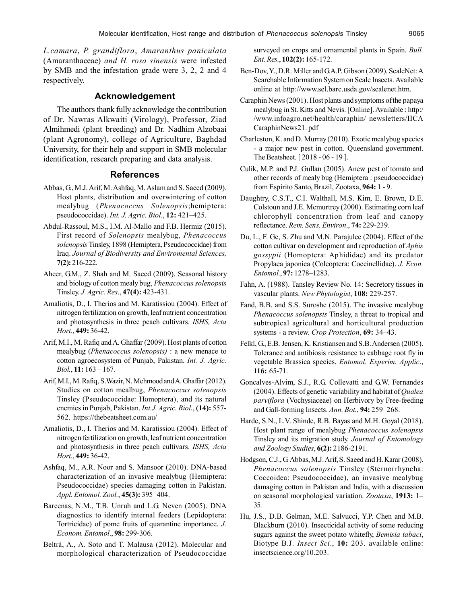*L.camara*, *P. grandiflora*, *Amaranthus paniculata* (Amaranthaceae) *and H. rosa sinensis* were infested by SMB and the infestation grade were 3, 2, 2 and 4 respectively.

# **Acknowledgement**

The authors thank fully acknowledge the contribution of Dr. Nawras Alkwaiti (Virology), Professor, Ziad Almihmedi (plant breeding) and Dr. Nadhim Alzobaai (plant Agronomy), college of Agriculture, Baghdad University, for their help and support in SMB molecular identification, research preparing and data analysis.

## **References**

- Abbas, G., M.J. Arif, M. Ashfaq, M. Aslam and S. Saeed (2009). Host plants, distribution and overwintering of cotton mealybug (*Phenacoccus Solenopsis*;hemiptera: pseudococcidae). *Int. J. Agric. Biol*., **12:** 421–425.
- Abdul-Rassoul, M.S., I.M. Al-Mallo and F.B. Hermiz (2015). First record of *Solenopsis* mealybug, *Phenacoccus solenopsis* Tinsley, 1898 (Hemiptera, Pseudococcidae) from Iraq. *Journal of Biodiversity and Enviromental Sciences,* **7(2):** 216-222.
- Aheer, G.M., Z. Shah and M. Saeed (2009). Seasonal history and biology of cotton mealy bug, *Phenacoccus solenopsis* Tinsley. *J. Agric. Res*., **47(4):** 423-431.
- Amaliotis, D., I. Therios and M. Karatissiou (2004). Effect of nitrogen fertilization on growth, leaf nutrient concentration and photosynthesis in three peach cultivars. *ISHS, Acta Hort.*, **449:** 36-42.
- Arif, M.I., M. Rafiq and A. Ghaffar (2009). Host plants of cotton mealybug (*Phenacoccus solenopsis)* : a new menace to cotton agroecosystem of Punjab, Pakistan. *Int. J. Agric. Biol.*, **11:** 163 – 167.
- Arif, M.I., M. Rafiq, S.Wazir, N. Mehmood and A. Ghaffar (2012). Studies on cotton mealbug, *Phenacoccus solenopsis* Tinsley (Pseudococcidae: Homoptera), and its natural enemies in Punjab, Pakistan. *Int.J. Agric. Biol.*, **(14):** 557- 562. https://thebeatsheet.com.au/
- Amaliotis, D., I. Therios and M. Karatissiou (2004). Effect of nitrogen fertilization on growth, leaf nutrient concentration and photosynthesis in three peach cultivars. *ISHS, Acta Hort.*, **449:** 36-42.
- Ashfaq, M., A.R. Noor and S. Mansoor (2010). DNA-based characterization of an invasive mealybug (Hemiptera: Pseudococcidae) species damaging cotton in Pakistan. *Appl. Entomol. Zool.*, **45(3):** 395–404.
- Barcenas, N.M., T.B. Unruh and L.G. Neven (2005). DNA diagnostics to identify internal feeders (Lepidoptera: Tortricidae) of pome fruits of quarantine importance. *J. Econom. Entomol*., **98:** 299-306.
- Beltrà, A., A. Soto and T. Malausa (2012). Molecular and morphological characterization of Pseudococcidae

surveyed on crops and ornamental plants in Spain. *Bull. Ent. Res.*, **102(2):** 165-172.

- Ben-Dov, Y., D.R. Miller and G.A.P. Gibson (2009). ScaleNet: A Searchable Information System on Scale Insects. Available online at http://www.sel.barc.usda.gov/scalenet.htm.
- Caraphin News (2001). Host plants and symptoms of the papaya mealybug in St. Kitts and Nevis. [Online]. Available : http:/ /www.infoagro.net/health/caraphin/ newsletters/IICA CaraphinNews21. pdf
- Charleston, K. and D. Murray (2010). Exotic mealybug species - a major new pest in cotton. Queensland government. The Beatsheet. [ 2018 - 06 - 19 ].
- Culik, M.P. and P.J. Gullan (2005). Anew pest of tomato and other records of mealy bug (Hemiptera : pseudococcidae) from Espirito Santo, Brazil, Zootaxa, **964:** 1 - 9.
- Daughtry, C.S.T., C.I. Walthall, M.S. Kim, E. Brown, D.E. Colstoun and J.E. Mcmurtrey (2000). Estimating corn leaf chlorophyll concentration from leaf and canopy reflectance. *Rem. Sens. Environ*., **74:** 229-239.
- Du, L., F. Ge, S. Zhu and M.N. Parajulee (2004). Effect of the cotton cultivar on development and reproduction of *Aphis gossypii* (Homoptera: Aphididae) and its predator Propylaea japonica (Coleoptera: Coccinellidae). *J. Econ. Entomol.*, **97:** 1278–1283.
- Fahn, A. (1988). Tansley Review No. 14: Secretory tissues in vascular plants. *New Phytologist*, **108:** 229-257.
- Fand, B.B. and S.S. Suroshe (2015). The invasive mealybug *Phenacoccus solenopsis* Tinsley, a threat to tropical and subtropical agricultural and horticultural production systems - a review. *Crop Protection*, **69:** 34–43.
- Felkl, G., E.B. Jensen, K. Kristiansen and S.B. Andersen (2005). Tolerance and antibiosis resistance to cabbage root fly in vegetable Brassica species. *Entomol. Experim. Applic*., **116:** 65-71.
- Goncalves-Alvim, S.J., R.G. Collevatti and G.W. Fernandes (2004). Effects of genetic variability and habitat of *Qualea parviflora* (Vochysiaceae) on Herbivory by Free-feeding and Gall-forming Insects. *Ann. Bot.*, **94:** 259–268.
- Harde, S.N., L.V. Shinde, R.B. Bayas and M.H. Goyal (2018). Host plant range of mealybug *Phenacoccus solenopsis* Tinsley and its migration study. *Journal of Entomology and Zoology Studies*, **6(2):** 2186-2191.
- Hodgson, C.J., G. Abbas, M.J. Arif, S. Saeed and H. Karar (2008). *Phenacoccus solenopsis* Tinsley (Sternorrhyncha: Coccoidea: Pseudococcidae), an invasive mealybug damaging cotton in Pakistan and India, with a discussion on seasonal morphological variation. *Zootaxa*, **1913:** 1– 35.
- Hu, J.S., D.B. Gelman, M.E. Salvucci, Y.P. Chen and M.B. Blackburn (2010). Insecticidal activity of some reducing sugars against the sweet potato whitefly, *Bemisia tabaci*, Biotype B.J. *Insect Sci*., **10:** 203. available online: insectscience.org/10.203.